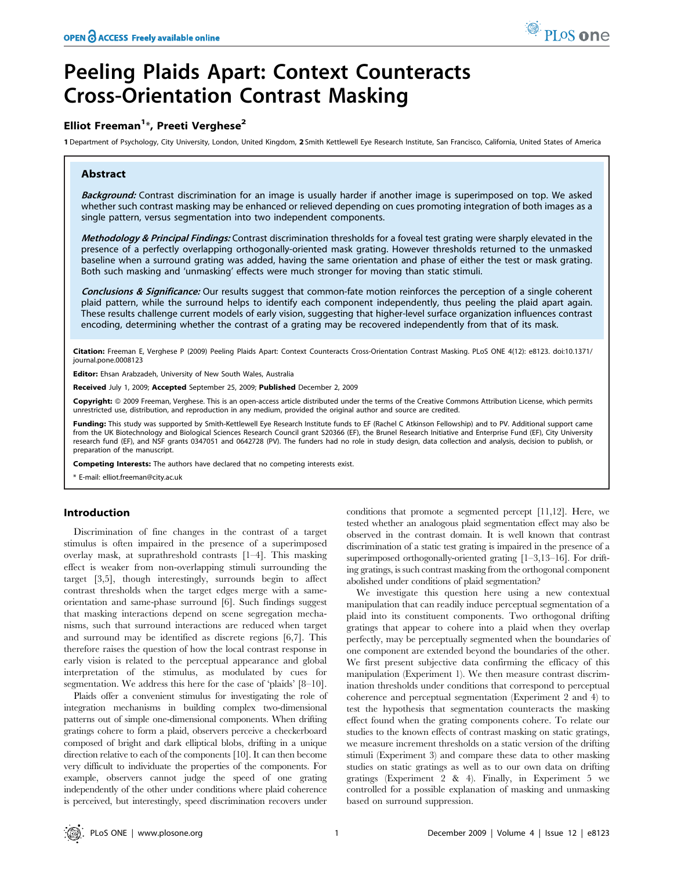# Peeling Plaids Apart: Context Counteracts Cross-Orientation Contrast Masking

## Elliot Freeman<sup>1\*</sup>, Preeti Verghese<sup>2</sup>

1 Department of Psychology, City University, London, United Kingdom, 2 Smith Kettlewell Eye Research Institute, San Francisco, California, United States of America

## Abstract

Background: Contrast discrimination for an image is usually harder if another image is superimposed on top. We asked whether such contrast masking may be enhanced or relieved depending on cues promoting integration of both images as a single pattern, versus segmentation into two independent components.

Methodology & Principal Findings: Contrast discrimination thresholds for a foveal test grating were sharply elevated in the presence of a perfectly overlapping orthogonally-oriented mask grating. However thresholds returned to the unmasked baseline when a surround grating was added, having the same orientation and phase of either the test or mask grating. Both such masking and 'unmasking' effects were much stronger for moving than static stimuli.

Conclusions & Significance: Our results suggest that common-fate motion reinforces the perception of a single coherent plaid pattern, while the surround helps to identify each component independently, thus peeling the plaid apart again. These results challenge current models of early vision, suggesting that higher-level surface organization influences contrast encoding, determining whether the contrast of a grating may be recovered independently from that of its mask.

Citation: Freeman E, Verghese P (2009) Peeling Plaids Apart: Context Counteracts Cross-Orientation Contrast Masking. PLoS ONE 4(12): e8123. doi:10.1371/ journal.pone.0008123

Editor: Ehsan Arabzadeh, University of New South Wales, Australia

Received July 1, 2009; Accepted September 25, 2009; Published December 2, 2009

Copyright: @ 2009 Freeman, Verghese. This is an open-access article distributed under the terms of the Creative Commons Attribution License, which permits unrestricted use, distribution, and reproduction in any medium, provided the original author and source are credited.

Funding: This study was supported by Smith-Kettlewell Eye Research Institute funds to EF (Rachel C Atkinson Fellowship) and to PV. Additional support came from the UK Biotechnology and Biological Sciences Research Council grant S20366 (EF), the Brunel Research Initiative and Enterprise Fund (EF), City University research fund (EF), and NSF grants 0347051 and 0642728 (PV). The funders had no role in study design, data collection and analysis, decision to publish, or preparation of the manuscript.

Competing Interests: The authors have declared that no competing interests exist.

\* E-mail: elliot.freeman@city.ac.uk

## Introduction

Discrimination of fine changes in the contrast of a target stimulus is often impaired in the presence of a superimposed overlay mask, at suprathreshold contrasts [1–4]. This masking effect is weaker from non-overlapping stimuli surrounding the target [3,5], though interestingly, surrounds begin to affect contrast thresholds when the target edges merge with a sameorientation and same-phase surround [6]. Such findings suggest that masking interactions depend on scene segregation mechanisms, such that surround interactions are reduced when target and surround may be identified as discrete regions [6,7]. This therefore raises the question of how the local contrast response in early vision is related to the perceptual appearance and global interpretation of the stimulus, as modulated by cues for segmentation. We address this here for the case of 'plaids' [8–10].

Plaids offer a convenient stimulus for investigating the role of integration mechanisms in building complex two-dimensional patterns out of simple one-dimensional components. When drifting gratings cohere to form a plaid, observers perceive a checkerboard composed of bright and dark elliptical blobs, drifting in a unique direction relative to each of the components [10]. It can then become very difficult to individuate the properties of the components. For example, observers cannot judge the speed of one grating independently of the other under conditions where plaid coherence is perceived, but interestingly, speed discrimination recovers under

conditions that promote a segmented percept [11,12]. Here, we tested whether an analogous plaid segmentation effect may also be observed in the contrast domain. It is well known that contrast discrimination of a static test grating is impaired in the presence of a superimposed orthogonally-oriented grating [1–3,13–16]. For drifting gratings, is such contrast masking from the orthogonal component abolished under conditions of plaid segmentation?

We investigate this question here using a new contextual manipulation that can readily induce perceptual segmentation of a plaid into its constituent components. Two orthogonal drifting gratings that appear to cohere into a plaid when they overlap perfectly, may be perceptually segmented when the boundaries of one component are extended beyond the boundaries of the other. We first present subjective data confirming the efficacy of this manipulation (Experiment 1). We then measure contrast discrimination thresholds under conditions that correspond to perceptual coherence and perceptual segmentation (Experiment 2 and 4) to test the hypothesis that segmentation counteracts the masking effect found when the grating components cohere. To relate our studies to the known effects of contrast masking on static gratings, we measure increment thresholds on a static version of the drifting stimuli (Experiment 3) and compare these data to other masking studies on static gratings as well as to our own data on drifting gratings (Experiment 2 & 4). Finally, in Experiment 5 we controlled for a possible explanation of masking and unmasking based on surround suppression.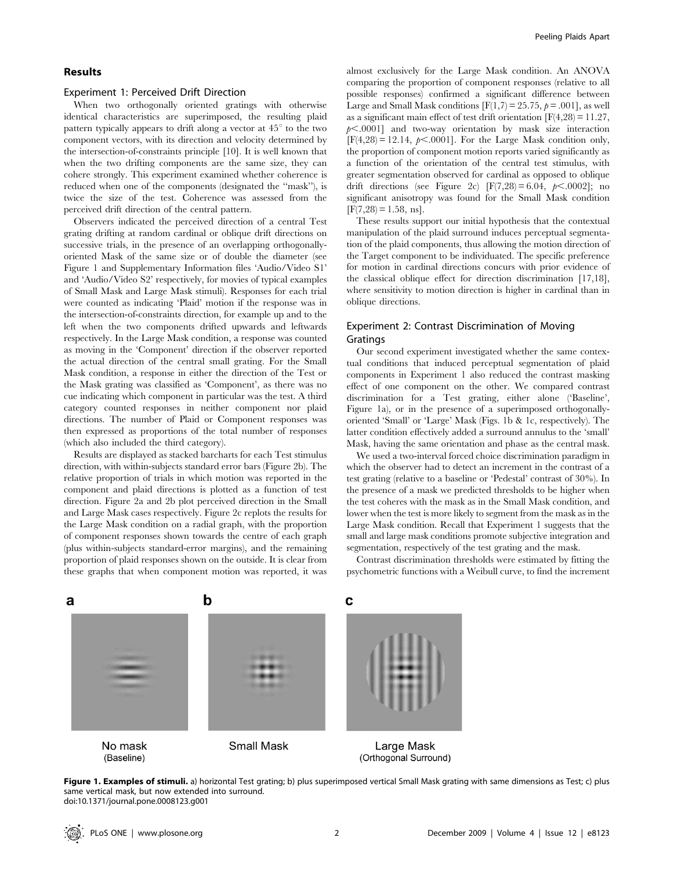## Results

#### Experiment 1: Perceived Drift Direction

When two orthogonally oriented gratings with otherwise identical characteristics are superimposed, the resulting plaid pattern typically appears to drift along a vector at  $45^{\circ}$  to the two component vectors, with its direction and velocity determined by the intersection-of-constraints principle [10]. It is well known that when the two drifting components are the same size, they can cohere strongly. This experiment examined whether coherence is reduced when one of the components (designated the ''mask''), is twice the size of the test. Coherence was assessed from the perceived drift direction of the central pattern.

Observers indicated the perceived direction of a central Test grating drifting at random cardinal or oblique drift directions on successive trials, in the presence of an overlapping orthogonallyoriented Mask of the same size or of double the diameter (see Figure 1 and Supplementary Information files 'Audio/Video S1' and 'Audio/Video S2' respectively, for movies of typical examples of Small Mask and Large Mask stimuli). Responses for each trial were counted as indicating 'Plaid' motion if the response was in the intersection-of-constraints direction, for example up and to the left when the two components drifted upwards and leftwards respectively. In the Large Mask condition, a response was counted as moving in the 'Component' direction if the observer reported the actual direction of the central small grating. For the Small Mask condition, a response in either the direction of the Test or the Mask grating was classified as 'Component', as there was no cue indicating which component in particular was the test. A third category counted responses in neither component nor plaid directions. The number of Plaid or Component responses was then expressed as proportions of the total number of responses (which also included the third category).

Results are displayed as stacked barcharts for each Test stimulus direction, with within-subjects standard error bars (Figure 2b). The relative proportion of trials in which motion was reported in the component and plaid directions is plotted as a function of test direction. Figure 2a and 2b plot perceived direction in the Small and Large Mask cases respectively. Figure 2c replots the results for the Large Mask condition on a radial graph, with the proportion of component responses shown towards the centre of each graph (plus within-subjects standard-error margins), and the remaining proportion of plaid responses shown on the outside. It is clear from these graphs that when component motion was reported, it was almost exclusively for the Large Mask condition. An ANOVA comparing the proportion of component responses (relative to all possible responses) confirmed a significant difference between Large and Small Mask conditions  $[F(1,7) = 25.75, p = .001]$ , as well as a significant main effect of test drift orientation  $[F(4,28) = 11.27]$ ,  $p<.0001$ ] and two-way orientation by mask size interaction  $[F(4,28) = 12.14, p<.0001]$ . For the Large Mask condition only, the proportion of component motion reports varied significantly as a function of the orientation of the central test stimulus, with greater segmentation observed for cardinal as opposed to oblique drift directions (see Figure 2c)  $[F(7,28) = 6.04, p<.0002]$ ; no. significant anisotropy was found for the Small Mask condition  $[F(7,28) = 1.58, ns]$ .

These results support our initial hypothesis that the contextual manipulation of the plaid surround induces perceptual segmentation of the plaid components, thus allowing the motion direction of the Target component to be individuated. The specific preference for motion in cardinal directions concurs with prior evidence of the classical oblique effect for direction discrimination [17,18], where sensitivity to motion direction is higher in cardinal than in oblique directions.

## Experiment 2: Contrast Discrimination of Moving Gratings

Our second experiment investigated whether the same contextual conditions that induced perceptual segmentation of plaid components in Experiment 1 also reduced the contrast masking effect of one component on the other. We compared contrast discrimination for a Test grating, either alone ('Baseline', Figure 1a), or in the presence of a superimposed orthogonallyoriented 'Small' or 'Large' Mask (Figs. 1b & 1c, respectively). The latter condition effectively added a surround annulus to the 'small' Mask, having the same orientation and phase as the central mask.

We used a two-interval forced choice discrimination paradigm in which the observer had to detect an increment in the contrast of a test grating (relative to a baseline or 'Pedestal' contrast of 30%). In the presence of a mask we predicted thresholds to be higher when the test coheres with the mask as in the Small Mask condition, and lower when the test is more likely to segment from the mask as in the Large Mask condition. Recall that Experiment 1 suggests that the small and large mask conditions promote subjective integration and segmentation, respectively of the test grating and the mask.

Contrast discrimination thresholds were estimated by fitting the psychometric functions with a Weibull curve, to find the increment



Figure 1. Examples of stimuli. a) horizontal Test grating; b) plus superimposed vertical Small Mask grating with same dimensions as Test; c) plus same vertical mask, but now extended into surround. doi:10.1371/journal.pone.0008123.g001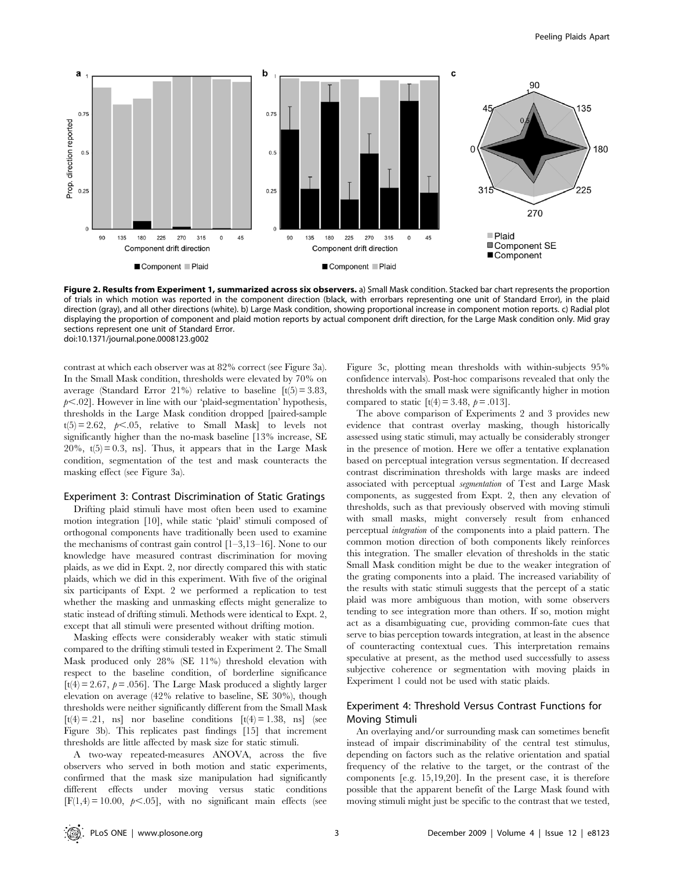

Figure 2. Results from Experiment 1, summarized across six observers. a) Small Mask condition. Stacked bar chart represents the proportion of trials in which motion was reported in the component direction (black, with errorbars representing one unit of Standard Error), in the plaid direction (gray), and all other directions (white). b) Large Mask condition, showing proportional increase in component motion reports. c) Radial plot displaying the proportion of component and plaid motion reports by actual component drift direction, for the Large Mask condition only. Mid gray sections represent one unit of Standard Error. doi:10.1371/journal.pone.0008123.g002

contrast at which each observer was at 82% correct (see Figure 3a). In the Small Mask condition, thresholds were elevated by 70% on average (Standard Error 21%) relative to baseline  $[t(5) = 3.83]$ ,  $p<.02$ ]. However in line with our 'plaid-segmentation' hypothesis, thresholds in the Large Mask condition dropped [paired-sample  $t(5) = 2.62$ ,  $p < .05$ , relative to Small Mask] to levels not significantly higher than the no-mask baseline [13% increase, SE  $20\%$ ,  $t(5) = 0.3$ , ns]. Thus, it appears that in the Large Mask condition, segmentation of the test and mask counteracts the masking effect (see Figure 3a).

## Experiment 3: Contrast Discrimination of Static Gratings

Drifting plaid stimuli have most often been used to examine motion integration [10], while static 'plaid' stimuli composed of orthogonal components have traditionally been used to examine the mechanisms of contrast gain control [1–3,13–16]. None to our knowledge have measured contrast discrimination for moving plaids, as we did in Expt. 2, nor directly compared this with static plaids, which we did in this experiment. With five of the original six participants of Expt. 2 we performed a replication to test whether the masking and unmasking effects might generalize to static instead of drifting stimuli. Methods were identical to Expt. 2, except that all stimuli were presented without drifting motion.

Masking effects were considerably weaker with static stimuli compared to the drifting stimuli tested in Experiment 2. The Small Mask produced only 28% (SE 11%) threshold elevation with respect to the baseline condition, of borderline significance [t(4) = 2.67,  $p = .056$ ]. The Large Mask produced a slightly larger elevation on average (42% relative to baseline, SE 30%), though thresholds were neither significantly different from the Small Mask  $[t(4) = .21, \text{ns}]$  nor baseline conditions  $[t(4) = 1.38, \text{ns}]$  (see Figure 3b). This replicates past findings [15] that increment thresholds are little affected by mask size for static stimuli.

A two-way repeated-measures ANOVA, across the five observers who served in both motion and static experiments, confirmed that the mask size manipulation had significantly different effects under moving versus static conditions  $[F(1,4) = 10.00, p<.05]$ , with no significant main effects (see

Figure 3c, plotting mean thresholds with within-subjects 95% confidence intervals). Post-hoc comparisons revealed that only the thresholds with the small mask were significantly higher in motion compared to static  $[t(4) = 3.48, p = .013]$ .

The above comparison of Experiments 2 and 3 provides new evidence that contrast overlay masking, though historically assessed using static stimuli, may actually be considerably stronger in the presence of motion. Here we offer a tentative explanation based on perceptual integration versus segmentation. If decreased contrast discrimination thresholds with large masks are indeed associated with perceptual segmentation of Test and Large Mask components, as suggested from Expt. 2, then any elevation of thresholds, such as that previously observed with moving stimuli with small masks, might conversely result from enhanced perceptual integration of the components into a plaid pattern. The common motion direction of both components likely reinforces this integration. The smaller elevation of thresholds in the static Small Mask condition might be due to the weaker integration of the grating components into a plaid. The increased variability of the results with static stimuli suggests that the percept of a static plaid was more ambiguous than motion, with some observers tending to see integration more than others. If so, motion might act as a disambiguating cue, providing common-fate cues that serve to bias perception towards integration, at least in the absence of counteracting contextual cues. This interpretation remains speculative at present, as the method used successfully to assess subjective coherence or segmentation with moving plaids in Experiment 1 could not be used with static plaids.

## Experiment 4: Threshold Versus Contrast Functions for Moving Stimuli

An overlaying and/or surrounding mask can sometimes benefit instead of impair discriminability of the central test stimulus, depending on factors such as the relative orientation and spatial frequency of the relative to the target, or the contrast of the components [e.g. 15,19,20]. In the present case, it is therefore possible that the apparent benefit of the Large Mask found with moving stimuli might just be specific to the contrast that we tested,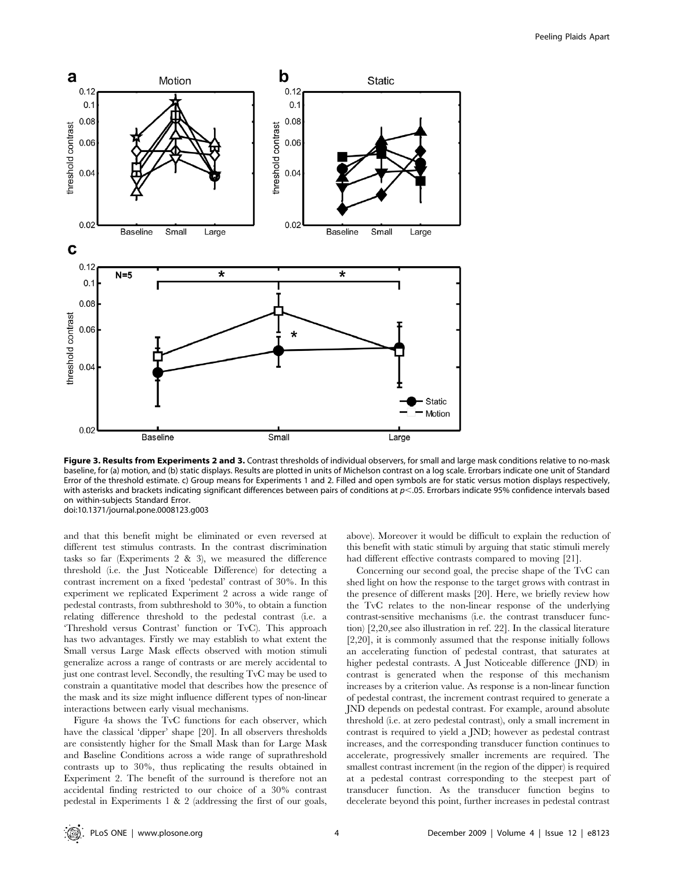

Figure 3. Results from Experiments 2 and 3. Contrast thresholds of individual observers, for small and large mask conditions relative to no-mask baseline, for (a) motion, and (b) static displays. Results are plotted in units of Michelson contrast on a log scale. Errorbars indicate one unit of Standard Error of the threshold estimate. c) Group means for Experiments 1 and 2. Filled and open symbols are for static versus motion displays respectively, with asterisks and brackets indicating significant differences between pairs of conditions at  $p$ <.05. Errorbars indicate 95% confidence intervals based on within-subjects Standard Error. doi:10.1371/journal.pone.0008123.g003

and that this benefit might be eliminated or even reversed at different test stimulus contrasts. In the contrast discrimination tasks so far (Experiments 2 & 3), we measured the difference threshold (i.e. the Just Noticeable Difference) for detecting a contrast increment on a fixed 'pedestal' contrast of 30%. In this experiment we replicated Experiment 2 across a wide range of pedestal contrasts, from subthreshold to 30%, to obtain a function relating difference threshold to the pedestal contrast (i.e. a 'Threshold versus Contrast' function or TvC). This approach has two advantages. Firstly we may establish to what extent the Small versus Large Mask effects observed with motion stimuli generalize across a range of contrasts or are merely accidental to just one contrast level. Secondly, the resulting TvC may be used to constrain a quantitative model that describes how the presence of the mask and its size might influence different types of non-linear interactions between early visual mechanisms.

Figure 4a shows the TvC functions for each observer, which have the classical 'dipper' shape [20]. In all observers thresholds are consistently higher for the Small Mask than for Large Mask and Baseline Conditions across a wide range of suprathreshold contrasts up to 30%, thus replicating the results obtained in Experiment 2. The benefit of the surround is therefore not an accidental finding restricted to our choice of a 30% contrast pedestal in Experiments 1 & 2 (addressing the first of our goals,

above). Moreover it would be difficult to explain the reduction of this benefit with static stimuli by arguing that static stimuli merely had different effective contrasts compared to moving [21].

Concerning our second goal, the precise shape of the TvC can shed light on how the response to the target grows with contrast in the presence of different masks [20]. Here, we briefly review how the TvC relates to the non-linear response of the underlying contrast-sensitive mechanisms (i.e. the contrast transducer function) [2,20,see also illustration in ref. 22]. In the classical literature [2,20], it is commonly assumed that the response initially follows an accelerating function of pedestal contrast, that saturates at higher pedestal contrasts. A Just Noticeable difference (JND) in contrast is generated when the response of this mechanism increases by a criterion value. As response is a non-linear function of pedestal contrast, the increment contrast required to generate a JND depends on pedestal contrast. For example, around absolute threshold (i.e. at zero pedestal contrast), only a small increment in contrast is required to yield a JND; however as pedestal contrast increases, and the corresponding transducer function continues to accelerate, progressively smaller increments are required. The smallest contrast increment (in the region of the dipper) is required at a pedestal contrast corresponding to the steepest part of transducer function. As the transducer function begins to decelerate beyond this point, further increases in pedestal contrast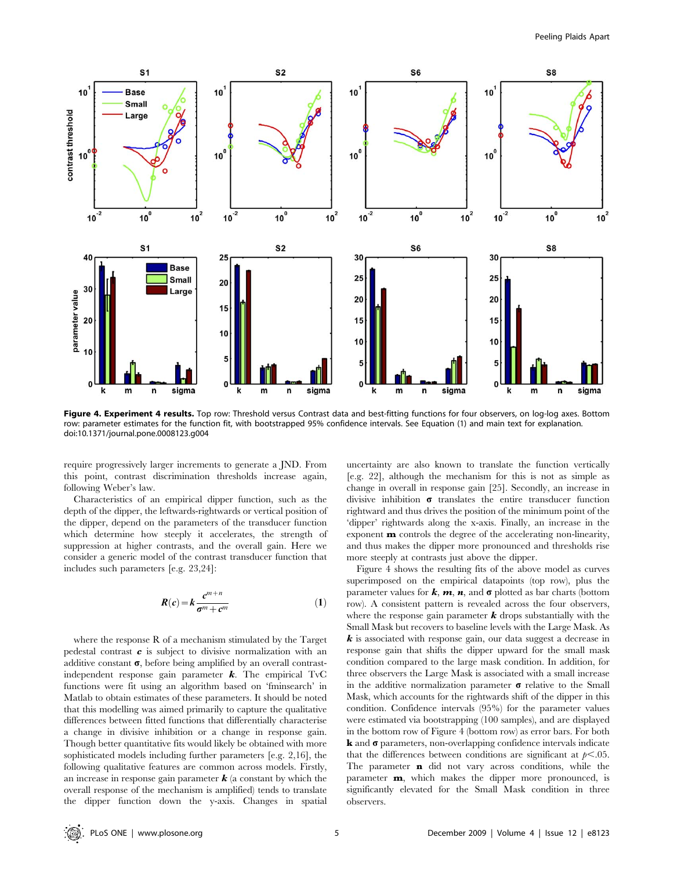

Figure 4. Experiment 4 results. Top row: Threshold versus Contrast data and best-fitting functions for four observers, on log-log axes. Bottom row: parameter estimates for the function fit, with bootstrapped 95% confidence intervals. See Equation (1) and main text for explanation. doi:10.1371/journal.pone.0008123.g004

require progressively larger increments to generate a JND. From this point, contrast discrimination thresholds increase again, following Weber's law.

Characteristics of an empirical dipper function, such as the depth of the dipper, the leftwards-rightwards or vertical position of the dipper, depend on the parameters of the transducer function which determine how steeply it accelerates, the strength of suppression at higher contrasts, and the overall gain. Here we consider a generic model of the contrast transducer function that includes such parameters [e.g. 23,24]:

$$
R(c) = k \frac{c^{m+n}}{\sigma^m + c^m} \tag{1}
$$

where the response R of a mechanism stimulated by the Target pedestal contrast  $c$  is subject to divisive normalization with an additive constant  $\sigma$ , before being amplified by an overall contrastindependent response gain parameter  $k$ . The empirical TvC functions were fit using an algorithm based on 'fminsearch' in Matlab to obtain estimates of these parameters. It should be noted that this modelling was aimed primarily to capture the qualitative differences between fitted functions that differentially characterise a change in divisive inhibition or a change in response gain. Though better quantitative fits would likely be obtained with more sophisticated models including further parameters [e.g. 2,16], the following qualitative features are common across models. Firstly, an increase in response gain parameter  $\boldsymbol{k}$  (a constant by which the overall response of the mechanism is amplified) tends to translate the dipper function down the y-axis. Changes in spatial uncertainty are also known to translate the function vertically [e.g. 22], although the mechanism for this is not as simple as change in overall in response gain [25]. Secondly, an increase in divisive inhibition  $\sigma$  translates the entire transducer function rightward and thus drives the position of the minimum point of the 'dipper' rightwards along the x-axis. Finally, an increase in the exponent m controls the degree of the accelerating non-linearity, and thus makes the dipper more pronounced and thresholds rise more steeply at contrasts just above the dipper.

Figure 4 shows the resulting fits of the above model as curves superimposed on the empirical datapoints (top row), plus the parameter values for  $k$ ,  $m$ ,  $n$ , and  $\sigma$  plotted as bar charts (bottom row). A consistent pattern is revealed across the four observers, where the response gain parameter  $k$  drops substantially with the Small Mask but recovers to baseline levels with the Large Mask. As k is associated with response gain, our data suggest a decrease in response gain that shifts the dipper upward for the small mask condition compared to the large mask condition. In addition, for three observers the Large Mask is associated with a small increase in the additive normalization parameter  $\sigma$  relative to the Small Mask, which accounts for the rightwards shift of the dipper in this condition. Confidence intervals (95%) for the parameter values were estimated via bootstrapping (100 samples), and are displayed in the bottom row of Figure 4 (bottom row) as error bars. For both  $\bf{k}$  and  $\bf{\sigma}$  parameters, non-overlapping confidence intervals indicate that the differences between conditions are significant at  $p<.05$ . The parameter **n** did not vary across conditions, while the parameter m, which makes the dipper more pronounced, is significantly elevated for the Small Mask condition in three observers.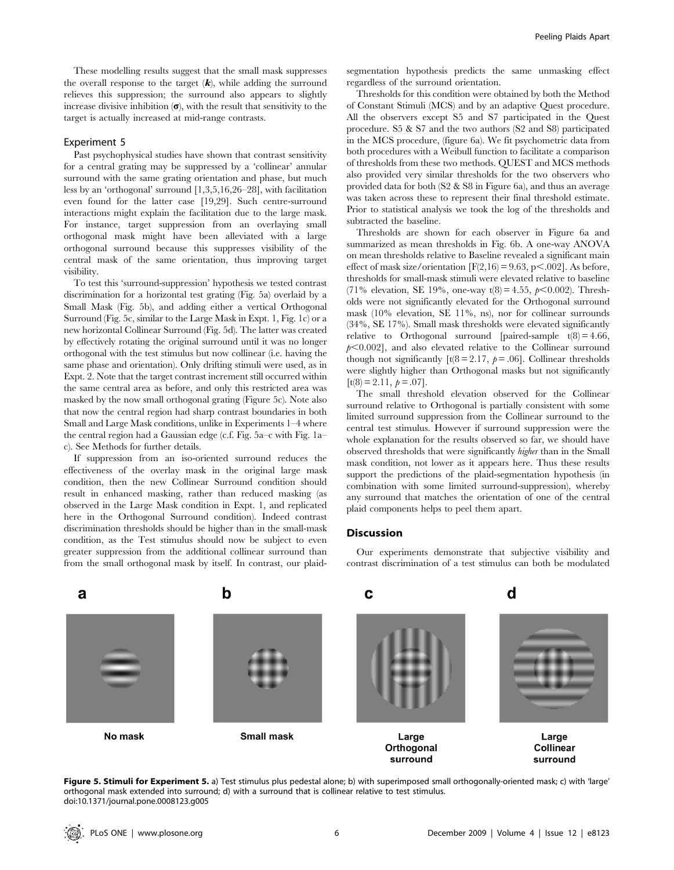These modelling results suggest that the small mask suppresses the overall response to the target  $(k)$ , while adding the surround relieves this suppression; the surround also appears to slightly increase divisive inhibition  $(\sigma)$ , with the result that sensitivity to the target is actually increased at mid-range contrasts.

## Experiment 5

Past psychophysical studies have shown that contrast sensitivity for a central grating may be suppressed by a 'collinear' annular surround with the same grating orientation and phase, but much less by an 'orthogonal' surround [1,3,5,16,26–28], with facilitation even found for the latter case [19,29]. Such centre-surround interactions might explain the facilitation due to the large mask. For instance, target suppression from an overlaying small orthogonal mask might have been alleviated with a large orthogonal surround because this suppresses visibility of the central mask of the same orientation, thus improving target visibility.

To test this 'surround-suppression' hypothesis we tested contrast discrimination for a horizontal test grating (Fig. 5a) overlaid by a Small Mask (Fig. 5b), and adding either a vertical Orthogonal Surround (Fig. 5c, similar to the Large Mask in Expt. 1, Fig. 1c) or a new horizontal Collinear Surround (Fig. 5d). The latter was created by effectively rotating the original surround until it was no longer orthogonal with the test stimulus but now collinear (i.e. having the same phase and orientation). Only drifting stimuli were used, as in Expt. 2. Note that the target contrast increment still occurred within the same central area as before, and only this restricted area was masked by the now small orthogonal grating (Figure 5c). Note also that now the central region had sharp contrast boundaries in both Small and Large Mask conditions, unlike in Experiments 1–4 where the central region had a Gaussian edge (c.f. Fig. 5a–c with Fig. 1a– c). See Methods for further details.

If suppression from an iso-oriented surround reduces the effectiveness of the overlay mask in the original large mask condition, then the new Collinear Surround condition should result in enhanced masking, rather than reduced masking (as observed in the Large Mask condition in Expt. 1, and replicated here in the Orthogonal Surround condition). Indeed contrast discrimination thresholds should be higher than in the small-mask condition, as the Test stimulus should now be subject to even greater suppression from the additional collinear surround than from the small orthogonal mask by itself. In contrast, our plaidsegmentation hypothesis predicts the same unmasking effect regardless of the surround orientation.

Thresholds for this condition were obtained by both the Method of Constant Stimuli (MCS) and by an adaptive Quest procedure. All the observers except S5 and S7 participated in the Quest procedure. S5 & S7 and the two authors (S2 and S8) participated in the MCS procedure, (figure 6a). We fit psychometric data from both procedures with a Weibull function to facilitate a comparison of thresholds from these two methods. QUEST and MCS methods also provided very similar thresholds for the two observers who provided data for both (S2 & S8 in Figure 6a), and thus an average was taken across these to represent their final threshold estimate. Prior to statistical analysis we took the log of the thresholds and subtracted the baseline.

Thresholds are shown for each observer in Figure 6a and summarized as mean thresholds in Fig. 6b. A one-way ANOVA on mean thresholds relative to Baseline revealed a significant main effect of mask size/orientation  $[F(2,16) = 9.63, p < .002]$ . As before, thresholds for small-mask stimuli were elevated relative to baseline (71% elevation, SE 19%, one-way t(8) = 4.55,  $p < 0.002$ ). Thresholds were not significantly elevated for the Orthogonal surround mask (10% elevation, SE 11%, ns), nor for collinear surrounds (34%, SE 17%). Small mask thresholds were elevated significantly relative to Orthogonal surround [paired-sample  $t(8) = 4.66$ ,  $p<0.002$ ], and also elevated relative to the Collinear surround though not significantly  $[t(8 = 2.17, p = .06]$ . Collinear thresholds were slightly higher than Orthogonal masks but not significantly  $[t(8) = 2.11, p = .07]$ .

The small threshold elevation observed for the Collinear surround relative to Orthogonal is partially consistent with some limited surround suppression from the Collinear surround to the central test stimulus. However if surround suppression were the whole explanation for the results observed so far, we should have observed thresholds that were significantly higher than in the Small mask condition, not lower as it appears here. Thus these results support the predictions of the plaid-segmentation hypothesis (in combination with some limited surround-suppression), whereby any surround that matches the orientation of one of the central plaid components helps to peel them apart.

## **Discussion**

Our experiments demonstrate that subjective visibility and contrast discrimination of a test stimulus can both be modulated



Figure 5. Stimuli for Experiment 5. a) Test stimulus plus pedestal alone; b) with superimposed small orthogonally-oriented mask; c) with 'large' orthogonal mask extended into surround; d) with a surround that is collinear relative to test stimulus. doi:10.1371/journal.pone.0008123.g005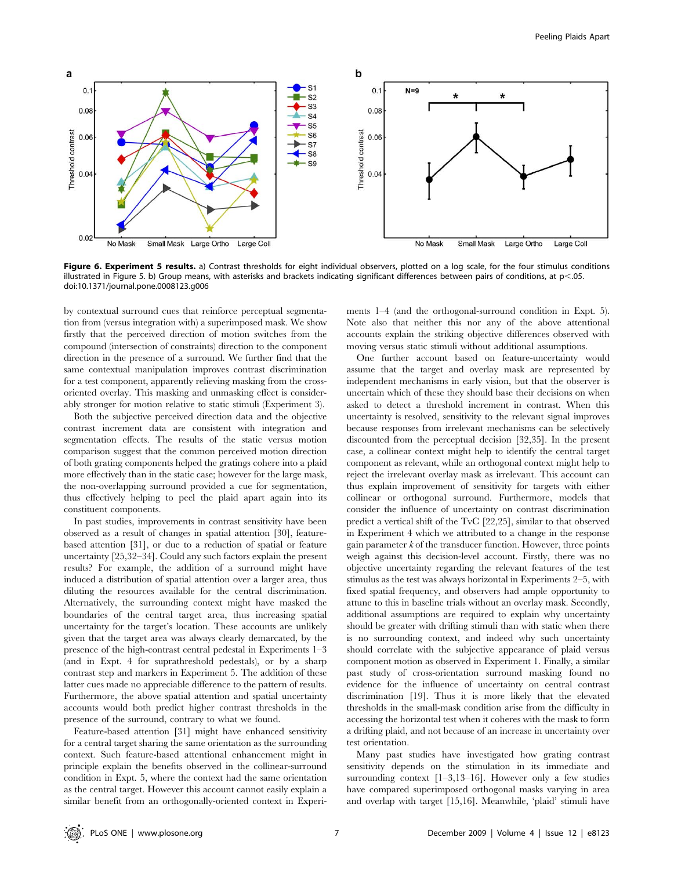

Figure 6. Experiment 5 results. a) Contrast thresholds for eight individual observers, plotted on a log scale, for the four stimulus conditions illustrated in Figure 5. b) Group means, with asterisks and brackets indicating significant differences between pairs of conditions, at p<.05. doi:10.1371/journal.pone.0008123.g006

by contextual surround cues that reinforce perceptual segmentation from (versus integration with) a superimposed mask. We show firstly that the perceived direction of motion switches from the compound (intersection of constraints) direction to the component direction in the presence of a surround. We further find that the same contextual manipulation improves contrast discrimination for a test component, apparently relieving masking from the crossoriented overlay. This masking and unmasking effect is considerably stronger for motion relative to static stimuli (Experiment 3).

Both the subjective perceived direction data and the objective contrast increment data are consistent with integration and segmentation effects. The results of the static versus motion comparison suggest that the common perceived motion direction of both grating components helped the gratings cohere into a plaid more effectively than in the static case; however for the large mask, the non-overlapping surround provided a cue for segmentation, thus effectively helping to peel the plaid apart again into its constituent components.

In past studies, improvements in contrast sensitivity have been observed as a result of changes in spatial attention [30], featurebased attention [31], or due to a reduction of spatial or feature uncertainty [25,32–34]. Could any such factors explain the present results? For example, the addition of a surround might have induced a distribution of spatial attention over a larger area, thus diluting the resources available for the central discrimination. Alternatively, the surrounding context might have masked the boundaries of the central target area, thus increasing spatial uncertainty for the target's location. These accounts are unlikely given that the target area was always clearly demarcated, by the presence of the high-contrast central pedestal in Experiments 1–3 (and in Expt. 4 for suprathreshold pedestals), or by a sharp contrast step and markers in Experiment 5. The addition of these latter cues made no appreciable difference to the pattern of results. Furthermore, the above spatial attention and spatial uncertainty accounts would both predict higher contrast thresholds in the presence of the surround, contrary to what we found.

Feature-based attention [31] might have enhanced sensitivity for a central target sharing the same orientation as the surrounding context. Such feature-based attentional enhancement might in principle explain the benefits observed in the collinear-surround condition in Expt. 5, where the context had the same orientation as the central target. However this account cannot easily explain a similar benefit from an orthogonally-oriented context in Experi-

ments 1–4 (and the orthogonal-surround condition in Expt. 5). Note also that neither this nor any of the above attentional accounts explain the striking objective differences observed with moving versus static stimuli without additional assumptions.

One further account based on feature-uncertainty would assume that the target and overlay mask are represented by independent mechanisms in early vision, but that the observer is uncertain which of these they should base their decisions on when asked to detect a threshold increment in contrast. When this uncertainty is resolved, sensitivity to the relevant signal improves because responses from irrelevant mechanisms can be selectively discounted from the perceptual decision [32,35]. In the present case, a collinear context might help to identify the central target component as relevant, while an orthogonal context might help to reject the irrelevant overlay mask as irrelevant. This account can thus explain improvement of sensitivity for targets with either collinear or orthogonal surround. Furthermore, models that consider the influence of uncertainty on contrast discrimination predict a vertical shift of the TvC [22,25], similar to that observed in Experiment 4 which we attributed to a change in the response gain parameter  $k$  of the transducer function. However, three points weigh against this decision-level account. Firstly, there was no objective uncertainty regarding the relevant features of the test stimulus as the test was always horizontal in Experiments 2–5, with fixed spatial frequency, and observers had ample opportunity to attune to this in baseline trials without an overlay mask. Secondly, additional assumptions are required to explain why uncertainty should be greater with drifting stimuli than with static when there is no surrounding context, and indeed why such uncertainty should correlate with the subjective appearance of plaid versus component motion as observed in Experiment 1. Finally, a similar past study of cross-orientation surround masking found no evidence for the influence of uncertainty on central contrast discrimination [19]. Thus it is more likely that the elevated thresholds in the small-mask condition arise from the difficulty in accessing the horizontal test when it coheres with the mask to form a drifting plaid, and not because of an increase in uncertainty over test orientation.

Many past studies have investigated how grating contrast sensitivity depends on the stimulation in its immediate and surrounding context [1–3,13–16]. However only a few studies have compared superimposed orthogonal masks varying in area and overlap with target [15,16]. Meanwhile, 'plaid' stimuli have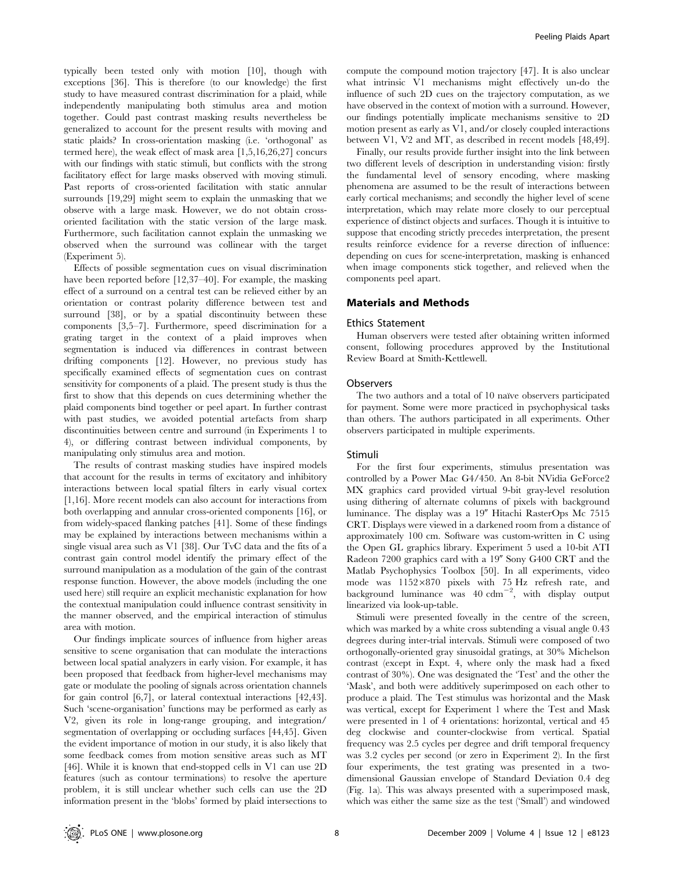typically been tested only with motion [10], though with exceptions [36]. This is therefore (to our knowledge) the first study to have measured contrast discrimination for a plaid, while independently manipulating both stimulus area and motion together. Could past contrast masking results nevertheless be generalized to account for the present results with moving and static plaids? In cross-orientation masking (i.e. 'orthogonal' as termed here), the weak effect of mask area [1,5,16,26,27] concurs with our findings with static stimuli, but conflicts with the strong facilitatory effect for large masks observed with moving stimuli. Past reports of cross-oriented facilitation with static annular surrounds [19,29] might seem to explain the unmasking that we observe with a large mask. However, we do not obtain crossoriented facilitation with the static version of the large mask. Furthermore, such facilitation cannot explain the unmasking we observed when the surround was collinear with the target (Experiment 5).

Effects of possible segmentation cues on visual discrimination have been reported before [12,37–40]. For example, the masking effect of a surround on a central test can be relieved either by an orientation or contrast polarity difference between test and surround [38], or by a spatial discontinuity between these components [3,5–7]. Furthermore, speed discrimination for a grating target in the context of a plaid improves when segmentation is induced via differences in contrast between drifting components [12]. However, no previous study has specifically examined effects of segmentation cues on contrast sensitivity for components of a plaid. The present study is thus the first to show that this depends on cues determining whether the plaid components bind together or peel apart. In further contrast with past studies, we avoided potential artefacts from sharp discontinuities between centre and surround (in Experiments 1 to 4), or differing contrast between individual components, by manipulating only stimulus area and motion.

The results of contrast masking studies have inspired models that account for the results in terms of excitatory and inhibitory interactions between local spatial filters in early visual cortex [1,16]. More recent models can also account for interactions from both overlapping and annular cross-oriented components [16], or from widely-spaced flanking patches [41]. Some of these findings may be explained by interactions between mechanisms within a single visual area such as V1 [38]. Our TvC data and the fits of a contrast gain control model identify the primary effect of the surround manipulation as a modulation of the gain of the contrast response function. However, the above models (including the one used here) still require an explicit mechanistic explanation for how the contextual manipulation could influence contrast sensitivity in the manner observed, and the empirical interaction of stimulus area with motion.

Our findings implicate sources of influence from higher areas sensitive to scene organisation that can modulate the interactions between local spatial analyzers in early vision. For example, it has been proposed that feedback from higher-level mechanisms may gate or modulate the pooling of signals across orientation channels for gain control [6,7], or lateral contextual interactions [42,43]. Such 'scene-organisation' functions may be performed as early as V2, given its role in long-range grouping, and integration/ segmentation of overlapping or occluding surfaces [44,45]. Given the evident importance of motion in our study, it is also likely that some feedback comes from motion sensitive areas such as MT [46]. While it is known that end-stopped cells in V1 can use 2D features (such as contour terminations) to resolve the aperture problem, it is still unclear whether such cells can use the 2D information present in the 'blobs' formed by plaid intersections to

compute the compound motion trajectory [47]. It is also unclear what intrinsic V1 mechanisms might effectively un-do the influence of such 2D cues on the trajectory computation, as we have observed in the context of motion with a surround. However, our findings potentially implicate mechanisms sensitive to 2D motion present as early as V1, and/or closely coupled interactions between V1, V2 and MT, as described in recent models [48,49].

Finally, our results provide further insight into the link between two different levels of description in understanding vision: firstly the fundamental level of sensory encoding, where masking phenomena are assumed to be the result of interactions between early cortical mechanisms; and secondly the higher level of scene interpretation, which may relate more closely to our perceptual experience of distinct objects and surfaces. Though it is intuitive to suppose that encoding strictly precedes interpretation, the present results reinforce evidence for a reverse direction of influence: depending on cues for scene-interpretation, masking is enhanced when image components stick together, and relieved when the components peel apart.

#### Materials and Methods

#### Ethics Statement

Human observers were tested after obtaining written informed consent, following procedures approved by the Institutional Review Board at Smith-Kettlewell.

## Observers

The two authors and a total of 10 naïve observers participated for payment. Some were more practiced in psychophysical tasks than others. The authors participated in all experiments. Other observers participated in multiple experiments.

#### Stimuli

For the first four experiments, stimulus presentation was controlled by a Power Mac G4/450. An 8-bit NVidia GeForce2 MX graphics card provided virtual 9-bit gray-level resolution using dithering of alternate columns of pixels with background luminance. The display was a 19" Hitachi RasterOps Mc 7515 CRT. Displays were viewed in a darkened room from a distance of approximately 100 cm. Software was custom-written in C using the Open GL graphics library. Experiment 5 used a 10-bit ATI Radeon  $7200$  graphics card with a  $19''$  Sony G400 CRT and the Matlab Psychophysics Toolbox [50]. In all experiments, video mode was 1152*6*870 pixels with 75 Hz refresh rate, and background luminance was  $40 \text{ cdm}^{-2}$ , with display output linearized via look-up-table.

Stimuli were presented foveally in the centre of the screen, which was marked by a white cross subtending a visual angle 0.43 degrees during inter-trial intervals. Stimuli were composed of two orthogonally-oriented gray sinusoidal gratings, at 30% Michelson contrast (except in Expt. 4, where only the mask had a fixed contrast of 30%). One was designated the 'Test' and the other the 'Mask', and both were additively superimposed on each other to produce a plaid. The Test stimulus was horizontal and the Mask was vertical, except for Experiment 1 where the Test and Mask were presented in 1 of 4 orientations: horizontal, vertical and 45 deg clockwise and counter-clockwise from vertical. Spatial frequency was 2.5 cycles per degree and drift temporal frequency was 3.2 cycles per second (or zero in Experiment 2). In the first four experiments, the test grating was presented in a twodimensional Gaussian envelope of Standard Deviation 0.4 deg (Fig. 1a). This was always presented with a superimposed mask, which was either the same size as the test ('Small') and windowed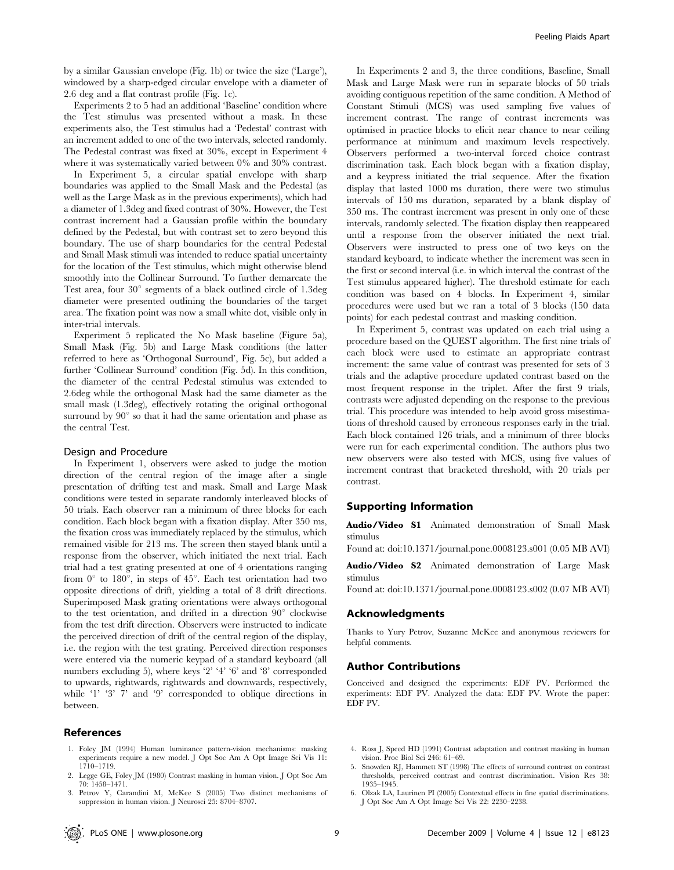by a similar Gaussian envelope (Fig. 1b) or twice the size ('Large'), windowed by a sharp-edged circular envelope with a diameter of 2.6 deg and a flat contrast profile (Fig. 1c).

Experiments 2 to 5 had an additional 'Baseline' condition where the Test stimulus was presented without a mask. In these experiments also, the Test stimulus had a 'Pedestal' contrast with an increment added to one of the two intervals, selected randomly. The Pedestal contrast was fixed at 30%, except in Experiment 4 where it was systematically varied between 0% and 30% contrast.

In Experiment 5, a circular spatial envelope with sharp boundaries was applied to the Small Mask and the Pedestal (as well as the Large Mask as in the previous experiments), which had a diameter of 1.3deg and fixed contrast of 30%. However, the Test contrast increment had a Gaussian profile within the boundary defined by the Pedestal, but with contrast set to zero beyond this boundary. The use of sharp boundaries for the central Pedestal and Small Mask stimuli was intended to reduce spatial uncertainty for the location of the Test stimulus, which might otherwise blend smoothly into the Collinear Surround. To further demarcate the Test area, four  $30^{\circ}$  segments of a black outlined circle of 1.3deg diameter were presented outlining the boundaries of the target area. The fixation point was now a small white dot, visible only in inter-trial intervals.

Experiment 5 replicated the No Mask baseline (Figure 5a), Small Mask (Fig. 5b) and Large Mask conditions (the latter referred to here as 'Orthogonal Surround', Fig. 5c), but added a further 'Collinear Surround' condition (Fig. 5d). In this condition, the diameter of the central Pedestal stimulus was extended to 2.6deg while the orthogonal Mask had the same diameter as the small mask (1.3deg), effectively rotating the original orthogonal surround by  $90^\circ$  so that it had the same orientation and phase as the central Test.

#### Design and Procedure

In Experiment 1, observers were asked to judge the motion direction of the central region of the image after a single presentation of drifting test and mask. Small and Large Mask conditions were tested in separate randomly interleaved blocks of 50 trials. Each observer ran a minimum of three blocks for each condition. Each block began with a fixation display. After 350 ms, the fixation cross was immediately replaced by the stimulus, which remained visible for 213 ms. The screen then stayed blank until a response from the observer, which initiated the next trial. Each trial had a test grating presented at one of 4 orientations ranging from  $0^{\circ}$  to 180<sup>°</sup>, in steps of 45<sup>°</sup>. Each test orientation had two opposite directions of drift, yielding a total of 8 drift directions. Superimposed Mask grating orientations were always orthogonal to the test orientation, and drifted in a direction  $90^{\circ}$  clockwise from the test drift direction. Observers were instructed to indicate the perceived direction of drift of the central region of the display, i.e. the region with the test grating. Perceived direction responses were entered via the numeric keypad of a standard keyboard (all numbers excluding 5), where keys '2' '4' '6' and '8' corresponded to upwards, rightwards, rightwards and downwards, respectively, while '1' '3' 7' and '9' corresponded to oblique directions in between.

#### References

- 1. Foley JM (1994) Human luminance pattern-vision mechanisms: masking experiments require a new model. J Opt Soc Am A Opt Image Sci Vis 11: 1710–1719.
- 2. Legge GE, Foley JM (1980) Contrast masking in human vision. J Opt Soc Am 70: 1458–1471.
- 3. Petrov Y, Carandini M, McKee S (2005) Two distinct mechanisms of suppression in human vision. J Neurosci 25: 8704–8707.

In Experiments 2 and 3, the three conditions, Baseline, Small Mask and Large Mask were run in separate blocks of 50 trials avoiding contiguous repetition of the same condition. A Method of Constant Stimuli (MCS) was used sampling five values of increment contrast. The range of contrast increments was optimised in practice blocks to elicit near chance to near ceiling performance at minimum and maximum levels respectively. Observers performed a two-interval forced choice contrast discrimination task. Each block began with a fixation display, and a keypress initiated the trial sequence. After the fixation display that lasted 1000 ms duration, there were two stimulus intervals of 150 ms duration, separated by a blank display of 350 ms. The contrast increment was present in only one of these intervals, randomly selected. The fixation display then reappeared until a response from the observer initiated the next trial. Observers were instructed to press one of two keys on the standard keyboard, to indicate whether the increment was seen in the first or second interval (i.e. in which interval the contrast of the Test stimulus appeared higher). The threshold estimate for each condition was based on 4 blocks. In Experiment 4, similar procedures were used but we ran a total of 3 blocks (150 data points) for each pedestal contrast and masking condition.

In Experiment 5, contrast was updated on each trial using a procedure based on the QUEST algorithm. The first nine trials of each block were used to estimate an appropriate contrast increment: the same value of contrast was presented for sets of 3 trials and the adaptive procedure updated contrast based on the most frequent response in the triplet. After the first 9 trials, contrasts were adjusted depending on the response to the previous trial. This procedure was intended to help avoid gross misestimations of threshold caused by erroneous responses early in the trial. Each block contained 126 trials, and a minimum of three blocks were run for each experimental condition. The authors plus two new observers were also tested with MCS, using five values of increment contrast that bracketed threshold, with 20 trials per contrast.

## Supporting Information

Audio/Video S1 Animated demonstration of Small Mask stimulus

Found at: doi:10.1371/journal.pone.0008123.s001 (0.05 MB AVI)

Audio/Video S2 Animated demonstration of Large Mask stimulus

Found at: doi:10.1371/journal.pone.0008123.s002 (0.07 MB AVI)

#### Acknowledgments

Thanks to Yury Petrov, Suzanne McKee and anonymous reviewers for helpful comments.

#### Author Contributions

Conceived and designed the experiments: EDF PV. Performed the experiments: EDF PV. Analyzed the data: EDF PV. Wrote the paper: EDF PV.

- 4. Ross J, Speed HD (1991) Contrast adaptation and contrast masking in human vision. Proc Biol Sci 246: 61–69.
- 5. Snowden RJ, Hammett ST (1998) The effects of surround contrast on contrast thresholds, perceived contrast and contrast discrimination. Vision Res 38: 1935–1945.
- 6. Olzak LA, Laurinen PI (2005) Contextual effects in fine spatial discriminations. J Opt Soc Am A Opt Image Sci Vis 22: 2230–2238.